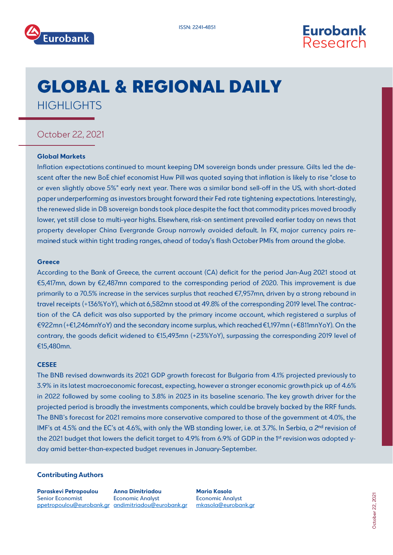



# **GLOBAL & REGIONAL DAILY HIGHLIGHTS**

## October 22, 2021

#### **Global Markets**

Inflation expectations continued to mount keeping DM sovereign bonds under pressure. Gilts led the descent after the new BoE chief economist Huw Pill was quoted saying that inflation is likely to rise "close to or even slightly above 5%" early next year. There was a similar bond sell-off in the US, with short-dated paper underperforming as investors brought forward their Fed rate tightening expectations. Interestingly, the renewed slide in DB sovereign bonds took place despite the fact that commodity prices moved broadly lower, yet still close to multi-year highs. Elsewhere, risk-on sentiment prevailed earlier today on news that property developer China Evergrande Group narrowly avoided default. In FX, major currency pairs remained stuck within tight trading ranges, ahead of today's flash October PMIs from around the globe.

#### **Greece**

According to the Bank of Greece, the current account (CA) deficit for the period Jan-Aug 2021 stood at €5,417mn, down by €2,487mn compared to the corresponding period of 2020. This improvement is due primarily to a 70.5% increase in the services surplus that reached €7,957mn, driven by a strong rebound in travel receipts (+136%YoY), which at 6,582mn stood at 49.8% of the corresponding 2019 level. The contraction of the CA deficit was also supported by the primary income account, which registered a surplus of €922mn (+€1,246mnYoY) and the secondary income surplus, which reached €1,197mn (+€811mnYoY). On the contrary, the goods deficit widened to €15,493mn (+23%YoY), surpassing the corresponding 2019 level of €15,480mn.

### **CESEE**

The BNB revised downwards its 2021 GDP growth forecast for Bulgaria from 4.1% projected previously to 3.9% in its latest macroeconomic forecast, expecting, however a stronger economic growth pick up of 4.6% in 2022 followed by some cooling to 3.8% in 2023 in its baseline scenario. The key growth driver for the projected period is broadly the investments components, which could be bravely backed by the RRF funds. The BNB's forecast for 2021 remains more conservative compared to those of the government at 4.0%, the IMF's at 4.5% and the EC's at 4.6%, with only the WB standing lower, i.e. at 3.7%. In Serbia, a 2<sup>nd</sup> revision of the 2021 budget that lowers the deficit target to 4.9% from 6.9% of GDP in the 1<sup>st</sup> revision was adopted yday amid better-than-expected budget revenues in January-September.

#### **Contributing Authors**

**Paraskevi Petropoulou Senior Economist** ppetropoulou@eurobank.gr andimitriadou@eurobank.gr

**Anna Dimitriadou Economic Analyst** 

**Maria Kasola Economic Analyst** mkasola@eurobank.ar